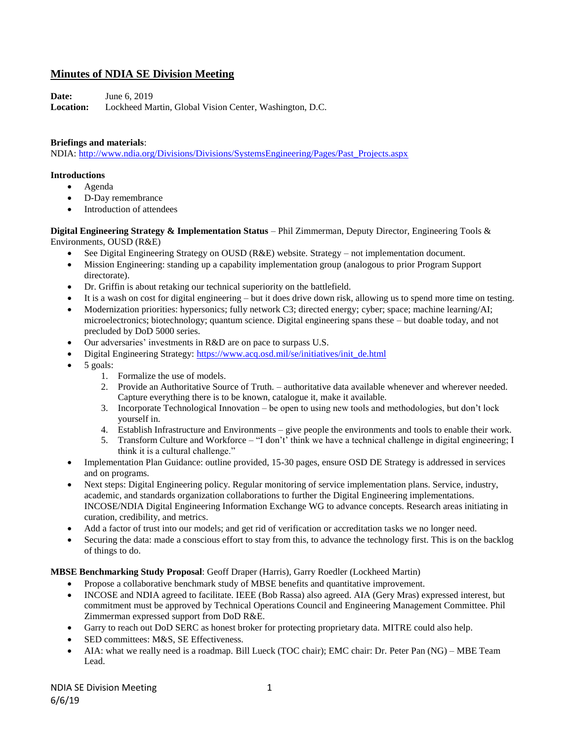# **Minutes of NDIA SE Division Meeting**

**Date:** June 6, 2019

**Location:** Lockheed Martin, Global Vision Center, Washington, D.C.

#### **Briefings and materials**:

NDIA: [http://www.ndia.org/Divisions/Divisions/SystemsEngineering/Pages/Past\\_Projects.aspx](http://www.ndia.org/Divisions/Divisions/SystemsEngineering/Pages/Past_Projects.aspx)

#### **Introductions**

- Agenda
- D-Day remembrance
- Introduction of attendees

**Digital Engineering Strategy & Implementation Status** – Phil Zimmerman, Deputy Director, Engineering Tools & Environments, OUSD (R&E)

- See Digital Engineering Strategy on OUSD (R&E) website. Strategy not implementation document.
- Mission Engineering: standing up a capability implementation group (analogous to prior Program Support directorate).
- Dr. Griffin is about retaking our technical superiority on the battlefield.
- It is a wash on cost for digital engineering but it does drive down risk, allowing us to spend more time on testing.
- Modernization priorities: hypersonics; fully network C3; directed energy; cyber; space; machine learning/AI; microelectronics; biotechnology; quantum science. Digital engineering spans these – but doable today, and not precluded by DoD 5000 series.
- Our adversaries' investments in R&D are on pace to surpass U.S.
- Digital Engineering Strategy: [https://www.acq.osd.mil/se/initiatives/init\\_de.html](https://www.acq.osd.mil/se/initiatives/init_de.html)
- $\bullet$  5 goals:
	- 1. Formalize the use of models.
	- 2. Provide an Authoritative Source of Truth. authoritative data available whenever and wherever needed. Capture everything there is to be known, catalogue it, make it available.
	- 3. Incorporate Technological Innovation be open to using new tools and methodologies, but don't lock yourself in.
	- 4. Establish Infrastructure and Environments give people the environments and tools to enable their work.
	- 5. Transform Culture and Workforce "I don't' think we have a technical challenge in digital engineering; I think it is a cultural challenge."
- Implementation Plan Guidance: outline provided, 15-30 pages, ensure OSD DE Strategy is addressed in services and on programs.
- Next steps: Digital Engineering policy. Regular monitoring of service implementation plans. Service, industry, academic, and standards organization collaborations to further the Digital Engineering implementations. INCOSE/NDIA Digital Engineering Information Exchange WG to advance concepts. Research areas initiating in curation, credibility, and metrics.
- Add a factor of trust into our models; and get rid of verification or accreditation tasks we no longer need.
- Securing the data: made a conscious effort to stay from this, to advance the technology first. This is on the backlog of things to do.

**MBSE Benchmarking Study Proposal**: Geoff Draper (Harris), Garry Roedler (Lockheed Martin)

- Propose a collaborative benchmark study of MBSE benefits and quantitative improvement.
- INCOSE and NDIA agreed to facilitate. IEEE (Bob Rassa) also agreed. AIA (Gery Mras) expressed interest, but commitment must be approved by Technical Operations Council and Engineering Management Committee. Phil Zimmerman expressed support from DoD R&E.
- Garry to reach out DoD SERC as honest broker for protecting proprietary data. MITRE could also help.
- SED committees: M&S, SE Effectiveness.
- AIA: what we really need is a roadmap. Bill Lueck (TOC chair); EMC chair: Dr. Peter Pan (NG) MBE Team Lead.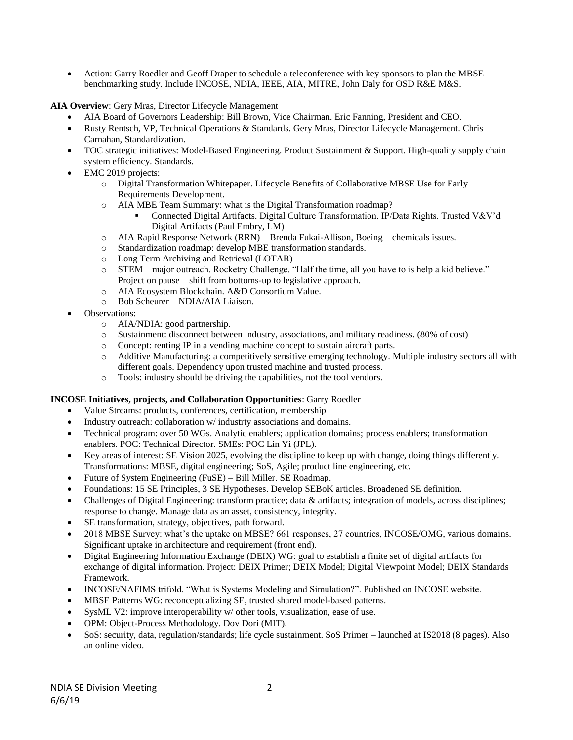Action: Garry Roedler and Geoff Draper to schedule a teleconference with key sponsors to plan the MBSE benchmarking study. Include INCOSE, NDIA, IEEE, AIA, MITRE, John Daly for OSD R&E M&S.

**AIA Overview**: Gery Mras, Director Lifecycle Management

- AIA Board of Governors Leadership: Bill Brown, Vice Chairman. Eric Fanning, President and CEO.
- Rusty Rentsch, VP, Technical Operations & Standards. Gery Mras, Director Lifecycle Management. Chris Carnahan, Standardization.
- TOC strategic initiatives: Model-Based Engineering. Product Sustainment & Support. High-quality supply chain system efficiency. Standards.
- EMC 2019 projects:
	- o Digital Transformation Whitepaper. Lifecycle Benefits of Collaborative MBSE Use for Early Requirements Development.
	- o AIA MBE Team Summary: what is the Digital Transformation roadmap?
		- Connected Digital Artifacts. Digital Culture Transformation. IP/Data Rights. Trusted V&V'd Digital Artifacts (Paul Embry, LM)
	- o AIA Rapid Response Network (RRN) Brenda Fukai-Allison, Boeing chemicals issues.
	- o Standardization roadmap: develop MBE transformation standards.
	- o Long Term Archiving and Retrieval (LOTAR)
	- o STEM major outreach. Rocketry Challenge. "Half the time, all you have to is help a kid believe." Project on pause – shift from bottoms-up to legislative approach.
	- o AIA Ecosystem Blockchain. A&D Consortium Value.
	- o Bob Scheurer NDIA/AIA Liaison.
- Observations:
	- o AIA/NDIA: good partnership.
	- o Sustainment: disconnect between industry, associations, and military readiness. (80% of cost)
	- o Concept: renting IP in a vending machine concept to sustain aircraft parts.
	- o Additive Manufacturing: a competitively sensitive emerging technology. Multiple industry sectors all with different goals. Dependency upon trusted machine and trusted process.
	- o Tools: industry should be driving the capabilities, not the tool vendors.

## **INCOSE Initiatives, projects, and Collaboration Opportunities**: Garry Roedler

- Value Streams: products, conferences, certification, membership
- Industry outreach: collaboration w/ industrty associations and domains.
- Technical program: over 50 WGs. Analytic enablers; application domains; process enablers; transformation enablers. POC: Technical Director. SMEs: POC Lin Yi (JPL).
- Key areas of interest: SE Vision 2025, evolving the discipline to keep up with change, doing things differently. Transformations: MBSE, digital engineering; SoS, Agile; product line engineering, etc.
- Future of System Engineering (FuSE) Bill Miller. SE Roadmap.
- Foundations: 15 SE Principles, 3 SE Hypotheses. Develop SEBoK articles. Broadened SE definition.
- Challenges of Digital Engineering: transform practice; data & artifacts; integration of models, across disciplines; response to change. Manage data as an asset, consistency, integrity.
- SE transformation, strategy, objectives, path forward.
- 2018 MBSE Survey: what's the uptake on MBSE? 661 responses, 27 countries, INCOSE/OMG, various domains. Significant uptake in architecture and requirement (front end).
- Digital Engineering Information Exchange (DEIX) WG: goal to establish a finite set of digital artifacts for exchange of digital information. Project: DEIX Primer; DEIX Model; Digital Viewpoint Model; DEIX Standards Framework.
- INCOSE/NAFIMS trifold, "What is Systems Modeling and Simulation?". Published on INCOSE website.
- MBSE Patterns WG: reconceptualizing SE, trusted shared model-based patterns.
- SysML V2: improve interoperability w/ other tools, visualization, ease of use.
- OPM: Object-Process Methodology. Dov Dori (MIT).
- SoS: security, data, regulation/standards; life cycle sustainment. SoS Primer launched at IS2018 (8 pages). Also an online video.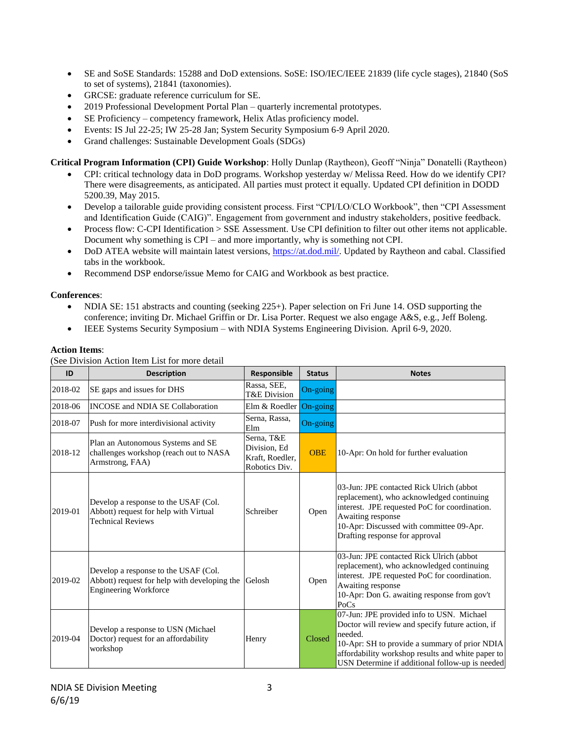- SE and SoSE Standards: 15288 and DoD extensions. SoSE: ISO/IEC/IEEE 21839 (life cycle stages), 21840 (SoS to set of systems), 21841 (taxonomies).
- GRCSE: graduate reference curriculum for SE.
- 2019 Professional Development Portal Plan quarterly incremental prototypes.
- SE Proficiency competency framework, Helix Atlas proficiency model.
- Events: IS Jul 22-25; IW 25-28 Jan; System Security Symposium 6-9 April 2020.
- Grand challenges: Sustainable Development Goals (SDGs)

**Critical Program Information (CPI) Guide Workshop**: Holly Dunlap (Raytheon), Geoff "Ninja" Donatelli (Raytheon)

- CPI: critical technology data in DoD programs. Workshop yesterday w/ Melissa Reed. How do we identify CPI? There were disagreements, as anticipated. All parties must protect it equally. Updated CPI definition in DODD 5200.39, May 2015.
- Develop a tailorable guide providing consistent process. First "CPI/LO/CLO Workbook", then "CPI Assessment and Identification Guide (CAIG)". Engagement from government and industry stakeholders, positive feedback.
- Process flow: C-CPI Identification > SSE Assessment. Use CPI definition to filter out other items not applicable. Document why something is CPI – and more importantly, why is something not CPI.
- DoD ATEA website will maintain latest versions, [https://at.dod.mil/.](https://at.dod.mil/) Updated by Raytheon and cabal. Classified tabs in the workbook.
- Recommend DSP endorse/issue Memo for CAIG and Workbook as best practice.

## **Conferences**:

- NDIA SE: 151 abstracts and counting (seeking 225+). Paper selection on Fri June 14. OSD supporting the conference; inviting Dr. Michael Griffin or Dr. Lisa Porter. Request we also engage A&S, e.g., Jeff Boleng.
- IEEE Systems Security Symposium with NDIA Systems Engineering Division. April 6-9, 2020.

## **Action Items**:

(See Division Action Item List for more detail

| ID      | <b>Description</b>                                                                                                           | <b>Responsible</b>                                             | <b>Status</b> | <b>Notes</b>                                                                                                                                                                                                                                                      |
|---------|------------------------------------------------------------------------------------------------------------------------------|----------------------------------------------------------------|---------------|-------------------------------------------------------------------------------------------------------------------------------------------------------------------------------------------------------------------------------------------------------------------|
| 2018-02 | SE gaps and issues for DHS                                                                                                   | Rassa, SEE,<br>T&E Division                                    | On-going      |                                                                                                                                                                                                                                                                   |
| 2018-06 | <b>INCOSE</b> and <b>NDIA SE Collaboration</b>                                                                               | Elm & Roedler                                                  | On-going      |                                                                                                                                                                                                                                                                   |
| 2018-07 | Push for more interdivisional activity                                                                                       | Serna, Rassa,<br>Elm                                           | On-going      |                                                                                                                                                                                                                                                                   |
| 2018-12 | Plan an Autonomous Systems and SE<br>challenges workshop (reach out to NASA<br>Armstrong, FAA)                               | Serna, T&E<br>Division, Ed<br>Kraft, Roedler,<br>Robotics Div. | <b>OBE</b>    | 10-Apr: On hold for further evaluation                                                                                                                                                                                                                            |
| 2019-01 | Develop a response to the USAF (Col.<br>Abbott) request for help with Virtual<br><b>Technical Reviews</b>                    | Schreiber                                                      | Open          | 03-Jun: JPE contacted Rick Ulrich (abbot)<br>replacement), who acknowledged continuing<br>interest. JPE requested PoC for coordination.<br>Awaiting response<br>10-Apr: Discussed with committee 09-Apr.<br>Drafting response for approval                        |
| 2019-02 | Develop a response to the USAF (Col.)<br>Abbott) request for help with developing the Gelosh<br><b>Engineering Workforce</b> |                                                                | Open          | 03-Jun: JPE contacted Rick Ulrich (abbot)<br>replacement), who acknowledged continuing<br>interest. JPE requested PoC for coordination.<br>Awaiting response<br>10-Apr: Don G. awaiting response from gov't<br>PoCs                                               |
| 2019-04 | Develop a response to USN (Michael)<br>Doctor) request for an affordability<br>workshop                                      | Henry                                                          | Closed        | 07-Jun: JPE provided info to USN. Michael<br>Doctor will review and specify future action, if<br>needed.<br>10-Apr: SH to provide a summary of prior NDIA<br>affordability workshop results and white paper to<br>USN Determine if additional follow-up is needed |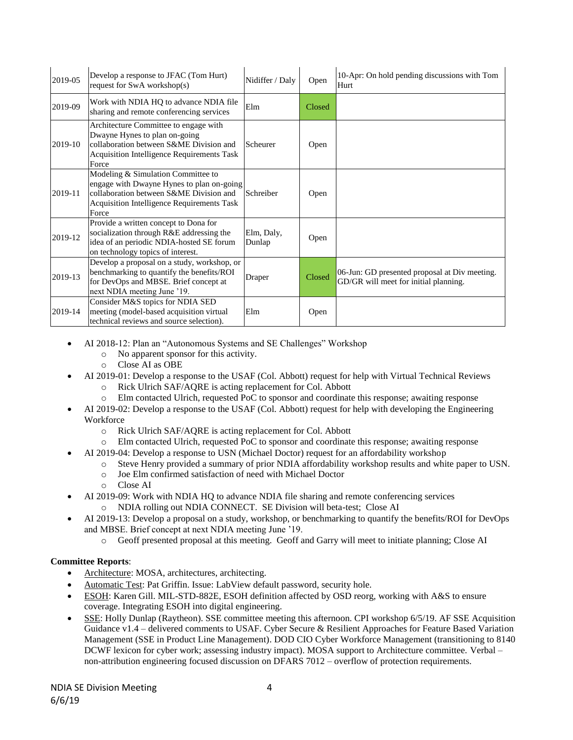| 2019-05 | Develop a response to JFAC (Tom Hurt)<br>request for SwA workshop(s)                                                                                                                     | Nidiffer / Daly      | Open   | 10-Apr: On hold pending discussions with Tom<br>Hurt                                   |
|---------|------------------------------------------------------------------------------------------------------------------------------------------------------------------------------------------|----------------------|--------|----------------------------------------------------------------------------------------|
| 2019-09 | Work with NDIA HQ to advance NDIA file<br>sharing and remote conferencing services                                                                                                       | Elm                  | Closed |                                                                                        |
| 2019-10 | Architecture Committee to engage with<br>Dwayne Hynes to plan on-going<br>collaboration between S&ME Division and<br><b>Acquisition Intelligence Requirements Task</b><br>Force          | Scheurer             | Open   |                                                                                        |
| 2019-11 | Modeling & Simulation Committee to<br>engage with Dwayne Hynes to plan on-going<br>collaboration between S&ME Division and<br><b>Acquisition Intelligence Requirements Task</b><br>Force | Schreiber            | Open   |                                                                                        |
| 2019-12 | Provide a written concept to Dona for<br>socialization through R&E addressing the<br>idea of an periodic NDIA-hosted SE forum<br>on technology topics of interest.                       | Elm, Daly,<br>Dunlap | Open   |                                                                                        |
| 2019-13 | Develop a proposal on a study, workshop, or<br>benchmarking to quantify the benefits/ROI<br>for DevOps and MBSE. Brief concept at<br>next NDIA meeting June '19.                         | Draper               | Closed | 06-Jun: GD presented proposal at Div meeting.<br>GD/GR will meet for initial planning. |
| 2019-14 | Consider M&S topics for NDIA SED<br>meeting (model-based acquisition virtual<br>technical reviews and source selection).                                                                 | Elm                  | Open   |                                                                                        |

- AI 2018-12: Plan an "Autonomous Systems and SE Challenges" Workshop
	- o No apparent sponsor for this activity.
	- o Close AI as OBE
- AI 2019-01: Develop a response to the USAF (Col. Abbott) request for help with Virtual Technical Reviews
	- o Rick Ulrich SAF/AQRE is acting replacement for Col. Abbott
	- o Elm contacted Ulrich, requested PoC to sponsor and coordinate this response; awaiting response
- AI 2019-02: Develop a response to the USAF (Col. Abbott) request for help with developing the Engineering **Workforce** 
	- o Rick Ulrich SAF/AQRE is acting replacement for Col. Abbott
	- o Elm contacted Ulrich, requested PoC to sponsor and coordinate this response; awaiting response
	- AI 2019-04: Develop a response to USN (Michael Doctor) request for an affordability workshop
		- o Steve Henry provided a summary of prior NDIA affordability workshop results and white paper to USN.
		- o Joe Elm confirmed satisfaction of need with Michael Doctor
		- o Close AI
- AI 2019-09: Work with NDIA HQ to advance NDIA file sharing and remote conferencing services o NDIA rolling out NDIA CONNECT. SE Division will beta-test; Close AI
- AI 2019-13: Develop a proposal on a study, workshop, or benchmarking to quantify the benefits/ROI for DevOps and MBSE. Brief concept at next NDIA meeting June '19.
	- o Geoff presented proposal at this meeting. Geoff and Garry will meet to initiate planning; Close AI

## **Committee Reports**:

- Architecture: MOSA, architectures, architecting.
- Automatic Test: Pat Griffin. Issue: LabView default password, security hole.
- ESOH: Karen Gill. MIL-STD-882E, ESOH definition affected by OSD reorg, working with A&S to ensure coverage. Integrating ESOH into digital engineering.
- SSE: Holly Dunlap (Raytheon). SSE committee meeting this afternoon. CPI workshop 6/5/19. AF SSE Acquisition Guidance v1.4 – delivered comments to USAF. Cyber Secure & Resilient Approaches for Feature Based Variation Management (SSE in Product Line Management). DOD CIO Cyber Workforce Management (transitioning to 8140 DCWF lexicon for cyber work; assessing industry impact). MOSA support to Architecture committee. Verbal – non-attribution engineering focused discussion on DFARS 7012 – overflow of protection requirements.